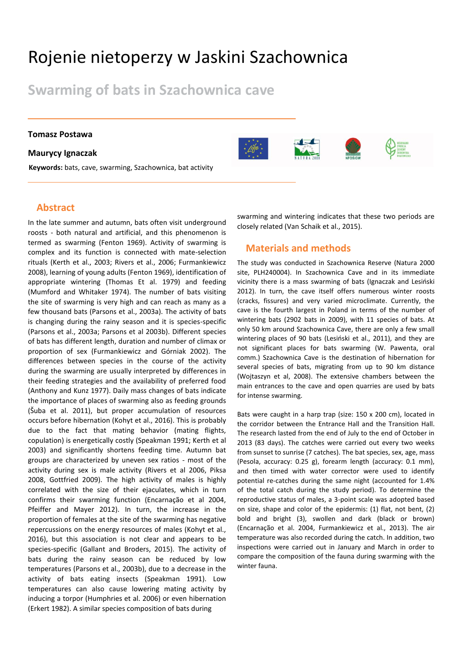# Rojenie nietoperzy w Jaskini Szachownica

**Swarming of bats in Szachownica cave**

#### **Tomasz Postawa**

#### **Maurycy Ignaczak**

**Keywords:** bats, cave, swarming, Szachownica, bat activity

## **Abstract**

In the late summer and autumn, bats often visit underground roosts - both natural and artificial, and this phenomenon is termed as swarming (Fenton 1969). Activity of swarming is complex and its function is connected with mate-selection rituals (Kerth et al., 2003; Rivers et al., 2006; Furmankiewicz 2008), learning of young adults (Fenton 1969), identification of appropriate wintering (Thomas Et al. 1979) and feeding (Mumford and Whitaker 1974). The number of bats visiting the site of swarming is very high and can reach as many as a few thousand bats (Parsons et al., 2003a). The activity of bats is changing during the rainy season and it is species-specific (Parsons et al., 2003a; Parsons et al 2003b). Different species of bats has different length, duration and number of climax or proportion of sex (Furmankiewicz and Górniak 2002). The differences between species in the course of the activity during the swarming are usually interpreted by differences in their feeding strategies and the availability of preferred food (Anthony and Kunz 1977). Daily mass changes of bats indicate the importance of places of swarming also as feeding grounds (Šuba et al. 2011), but proper accumulation of resources occurs before hibernation (Kohyt et al., 2016). This is probably due to the fact that mating behavior (mating flights, copulation) is energetically costly (Speakman 1991; Kerth et al 2003) and significantly shortens feeding time. Autumn bat groups are characterized by uneven sex ratios - most of the activity during sex is male activity (Rivers et al 2006, Piksa 2008, Gottfried 2009). The high activity of males is highly correlated with the size of their ejaculates, which in turn confirms their swarming function (Encarnação et al 2004, Pfeiffer and Mayer 2012). In turn, the increase in the proportion of females at the site of the swarming has negative repercussions on the energy resources of males (Kohyt et al., 2016), but this association is not clear and appears to be species-specific (Gallant and Broders, 2015). The activity of bats during the rainy season can be reduced by low temperatures (Parsons et al., 2003b), due to a decrease in the activity of bats eating insects (Speakman 1991). Low temperatures can also cause lowering mating activity by inducing a torpor (Humphries et al. 2006) or even hibernation (Erkert 1982). A similar species composition of bats during

swarming and wintering indicates that these two periods are closely related (Van Schaik et al., 2015).

### **Materials and methods**

The study was conducted in Szachownica Reserve (Natura 2000 site, PLH240004). In Szachownica Cave and in its immediate vicinity there is a mass swarming of bats (Ignaczak and Lesiński 2012). In turn, the cave itself offers numerous winter roosts (cracks, fissures) and very varied microclimate. Currently, the cave is the fourth largest in Poland in terms of the number of wintering bats (2902 bats in 2009), with 11 species of bats. At only 50 km around Szachownica Cave, there are only a few small wintering places of 90 bats (Lesiński et al., 2011), and they are not significant places for bats swarming (W. Pawenta, oral comm.) Szachownica Cave is the destination of hibernation for several species of bats, migrating from up to 90 km distance (Wojtaszyn et al, 2008). The extensive chambers between the main entrances to the cave and open quarries are used by bats for intense swarming.

Bats were caught in a harp trap (size: 150 x 200 cm), located in the corridor between the Entrance Hall and the Transition Hall. The research lasted from the end of July to the end of October in 2013 (83 days). The catches were carried out every two weeks from sunset to sunrise (7 catches). The bat species, sex, age, mass (Pesola, accuracy: 0.25 g), forearm length (accuracy: 0.1 mm), and then timed with water corrector were used to identify potential re-catches during the same night (accounted for 1.4% of the total catch during the study period). To determine the reproductive status of males, a 3-point scale was adopted based on size, shape and color of the epidermis: (1) flat, not bent, (2) bold and bright (3), swollen and dark (black or brown) (Encarnação et al. 2004, Furmankiewicz et al., 2013). The air temperature was also recorded during the catch. In addition, two inspections were carried out in January and March in order to compare the composition of the fauna during swarming with the winter fauna.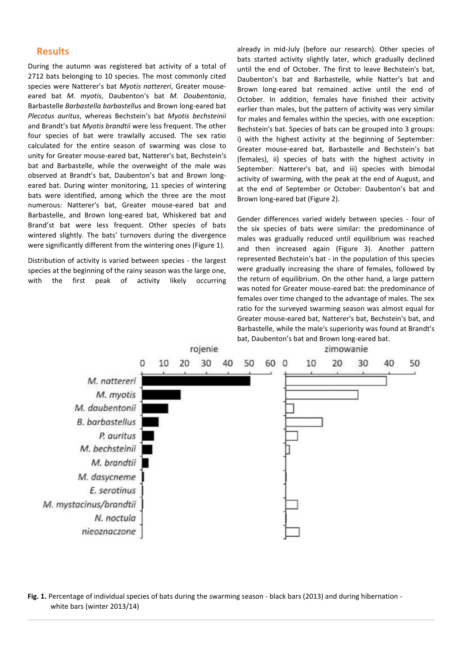#### **Results**

During the autumn was registered bat activity of a total of 2712 bats belonging to 10 species. The most commonly cited species were Natterer's bat *Myotis nattereri*, Greater mouseeared bat *M. myotis*, Daubenton's bat *M. Doubentonia*, Barbastelle *Barbastella barbastellus* and Brown long-eared bat *Plecotus auritus*, whereas Bechstein's bat *Myotis bechsteinii* and Brandt's bat *Myotis brandtii* were less frequent. The other four species of bat were trawlally accused. The sex ratio calculated for the entire season of swarming was close to unity for Greater mouse-eared bat, Natterer's bat, Bechstein's bat and Barbastelle, while the overweight of the male was observed at Brandt's bat, Daubenton's bat and Brown longeared bat. During winter monitoring, 11 species of wintering bats were identified, among which the three are the most numerous: Natterer's bat, Greater mouse-eared bat and Barbastelle, and Brown long-eared bat, Whiskered bat and Brand'st bat were less frequent. Other species of bats wintered slightly. The bats' turnovers during the divergence were significantly different from the wintering ones (Figure 1).

Distribution of activity is varied between species - the largest species at the beginning of the rainy season was the large one, with the first peak of activity likely occurring

already in mid-July (before our research). Other species of bats started activity slightly later, which gradually declined until the end of October. The first to leave Bechstein's bat, Daubenton's bat and Barbastelle, while Natter's bat and Brown long-eared bat remained active until the end of October. In addition, females have finished their activity earlier than males, but the pattern of activity was very similar for males and females within the species, with one exception: Bechstein's bat. Species of bats can be grouped into 3 groups: i) with the highest activity at the beginning of September: Greater mouse-eared bat, Barbastelle and Bechstein's bat (females), ii) species of bats with the highest activity in September: Natterer's bat, and iii) species with bimodal activity of swarming, with the peak at the end of August, and at the end of September or October: Daubenton's bat and Brown long-eared bat (Figure 2).

Gender differences varied widely between species - four of the six species of bats were similar: the predominance of males was gradually reduced until equilibrium was reached and then increased again (Figure 3). Another pattern represented Bechstein's bat - in the population of this species were gradually increasing the share of females, followed by the return of equilibrium. On the other hand, a large pattern was noted for Greater mouse-eared bat: the predominance of females over time changed to the advantage of males. The sex ratio for the surveyed swarming season was almost equal for Greater mouse-eared bat, Natterer's bat, Bechstein's bat, and Barbastelle, while the male's superiority was found at Brandt's bat, Daubenton's bat and Brown long-eared bat.



**Fig. 1.** Percentage of individual species of bats during the swarming season - black bars (2013) and during hibernation white bars (winter 2013/14)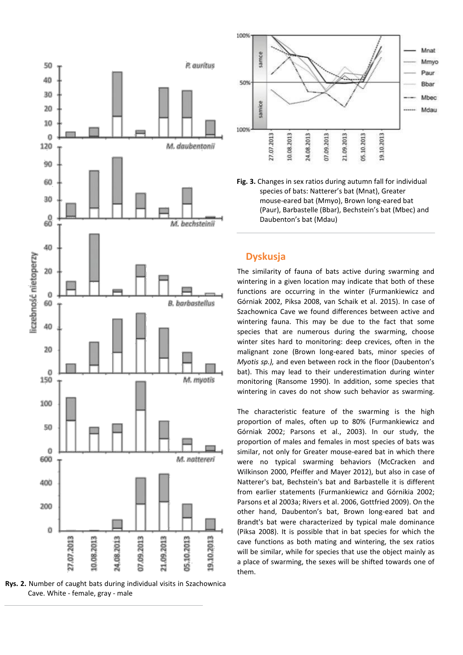

**Rys. 2.** Number of caught bats during individual visits in Szachownica Cave. White - female, gray - male



**Fig. 3.** Changes in sex ratios during autumn fall for individual species of bats: Natterer's bat (Mnat), Greater mouse-eared bat (Mmyo), Brown long-eared bat (Paur), Barbastelle (Bbar), Bechstein's bat (Mbec) and Daubenton's bat (Mdau)

## **Dyskusja**

The similarity of fauna of bats active during swarming and wintering in a given location may indicate that both of these functions are occurring in the winter (Furmankiewicz and Górniak 2002, Piksa 2008, van Schaik et al. 2015). In case of Szachownica Cave we found differences between active and wintering fauna. This may be due to the fact that some species that are numerous during the swarming, choose winter sites hard to monitoring: deep crevices, often in the malignant zone (Brown long-eared bats, minor species of *Myotis sp.),* and even between rock in the floor (Daubenton's bat). This may lead to their underestimation during winter monitoring (Ransome 1990). In addition, some species that wintering in caves do not show such behavior as swarming.

The characteristic feature of the swarming is the high proportion of males, often up to 80% (Furmankiewicz and Górniak 2002; Parsons et al., 2003). In our study, the proportion of males and females in most species of bats was similar, not only for Greater mouse-eared bat in which there were no typical swarming behaviors (McCracken and Wilkinson 2000, Pfeiffer and Mayer 2012), but also in case of Natterer's bat, Bechstein's bat and Barbastelle it is different from earlier statements (Furmankiewicz and Górnikia 2002; Parsons et al 2003a; Rivers et al. 2006, Gottfried 2009). On the other hand, Daubenton's bat, Brown long-eared bat and Brandt's bat were characterized by typical male dominance (Piksa 2008). It is possible that in bat species for which the cave functions as both mating and wintering, the sex ratios will be similar, while for species that use the object mainly as a place of swarming, the sexes will be shifted towards one of them.